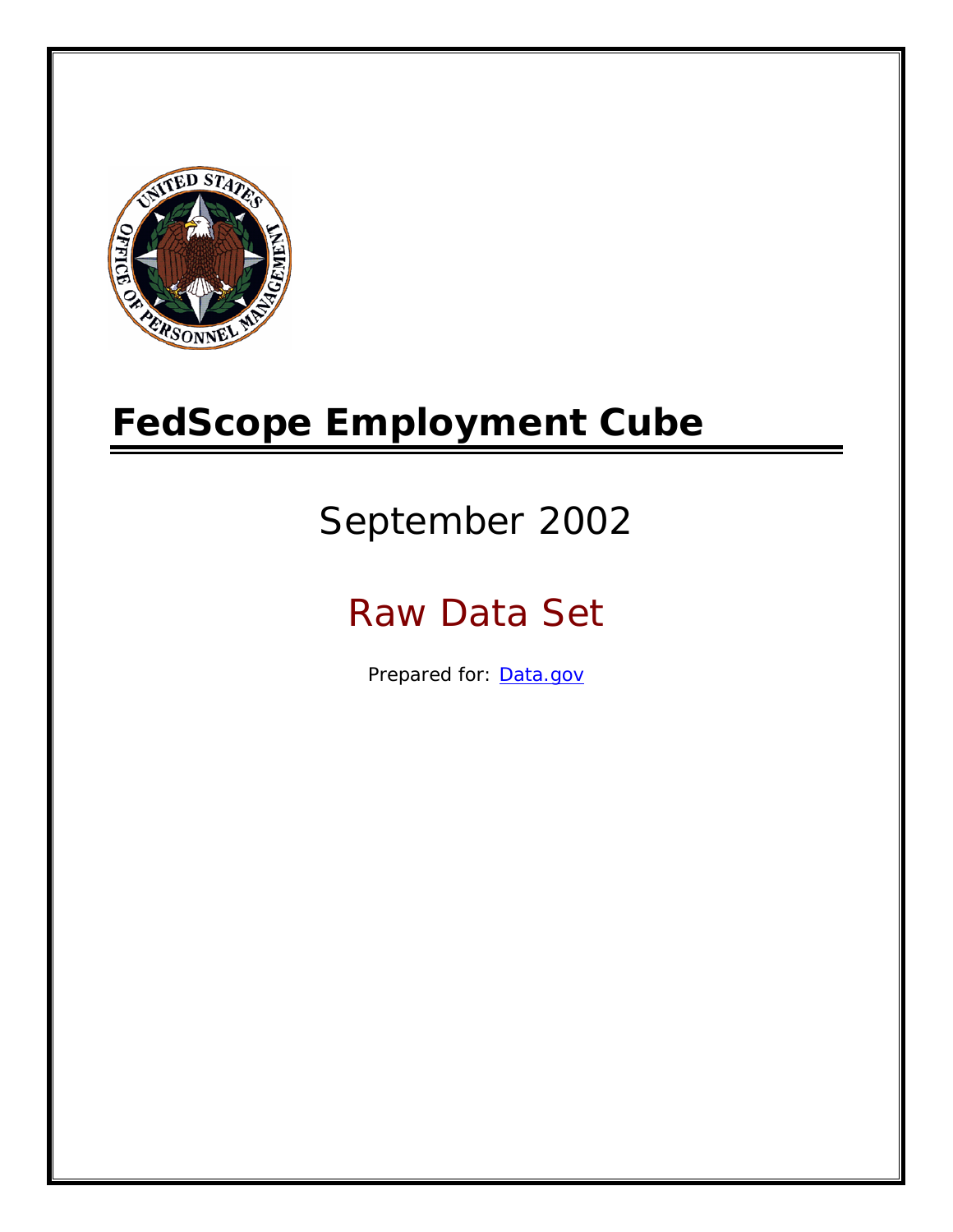

# **FedScope Employment Cube**

# September 2002

# Raw Data Set

Prepared for: [Data.gov](http://www.data.gov/)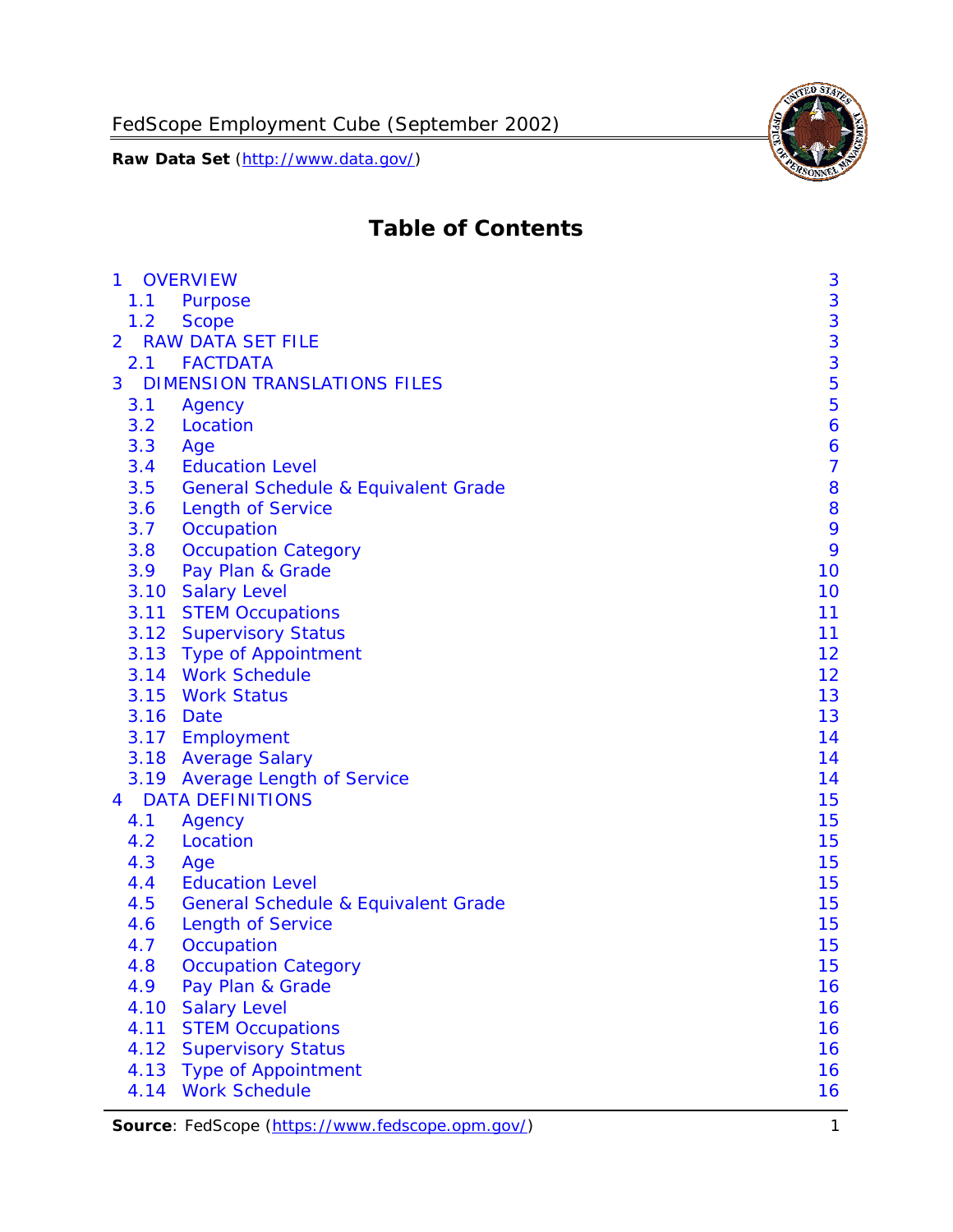

# **Table of Contents**

| $\mathbf{1}$ | <b>OVERVIEW</b>                                | 3              |
|--------------|------------------------------------------------|----------------|
| 1.1          | Purpose                                        | 3              |
| 1.2          | <b>Scope</b>                                   | 3              |
| 2            | <b>RAW DATA SET FILE</b>                       | 3              |
| 2.1          | <b>FACTDATA</b>                                | 3              |
| 3            | <b>DIMENSION TRANSLATIONS FILES</b>            | 5              |
| 3.1          | Agency                                         | 5              |
| 3.2          | Location                                       | 6              |
| 3.3          | Age                                            | 6              |
| 3.4          | <b>Education Level</b>                         | $\overline{7}$ |
| 3.5          | <b>General Schedule &amp; Equivalent Grade</b> | 8              |
| 3.6          | <b>Length of Service</b>                       | 8              |
| 3.7          | Occupation                                     | 9              |
| 3.8          | <b>Occupation Category</b>                     | 9              |
| 3.9          | Pay Plan & Grade                               | 10             |
| 3.10         | <b>Salary Level</b>                            | 10             |
|              | 3.11 STEM Occupations                          | 11             |
|              | 3.12 Supervisory Status                        | 11             |
|              | 3.13 Type of Appointment                       | 12             |
|              | 3.14 Work Schedule                             | 12             |
| 3.15         | <b>Work Status</b>                             | 13             |
|              | 3.16 Date                                      | 13             |
|              | 3.17 Employment                                | 14             |
|              | 3.18 Average Salary                            | 14             |
|              | 3.19 Average Length of Service                 | 14             |
| 4            | <b>DATA DEFINITIONS</b>                        | 15             |
| 4.1          | Agency                                         | 15             |
| 4.2          | Location                                       | 15             |
| 4.3          | Age                                            | 15             |
| 4.4          | <b>Education Level</b>                         | 15             |
| 4.5          | <b>General Schedule &amp; Equivalent Grade</b> | 15             |
| 4.6          | <b>Length of Service</b>                       | 15             |
| 4.7          | Occupation                                     | 15             |
| 4.8          | <b>Occupation Category</b>                     | 15             |
| 4.9          | Pay Plan & Grade                               | 16             |
| 4.10         | <b>Salary Level</b>                            | 16             |
| 4.11         | <b>STEM Occupations</b>                        | 16             |
| 4.12         | <b>Supervisory Status</b>                      | 16             |
| 4.13         | <b>Type of Appointment</b>                     | 16             |
| 4.14         | <b>Work Schedule</b>                           | 16             |

**Source**: FedScope (https://www.fedscope.opm.gov/) 1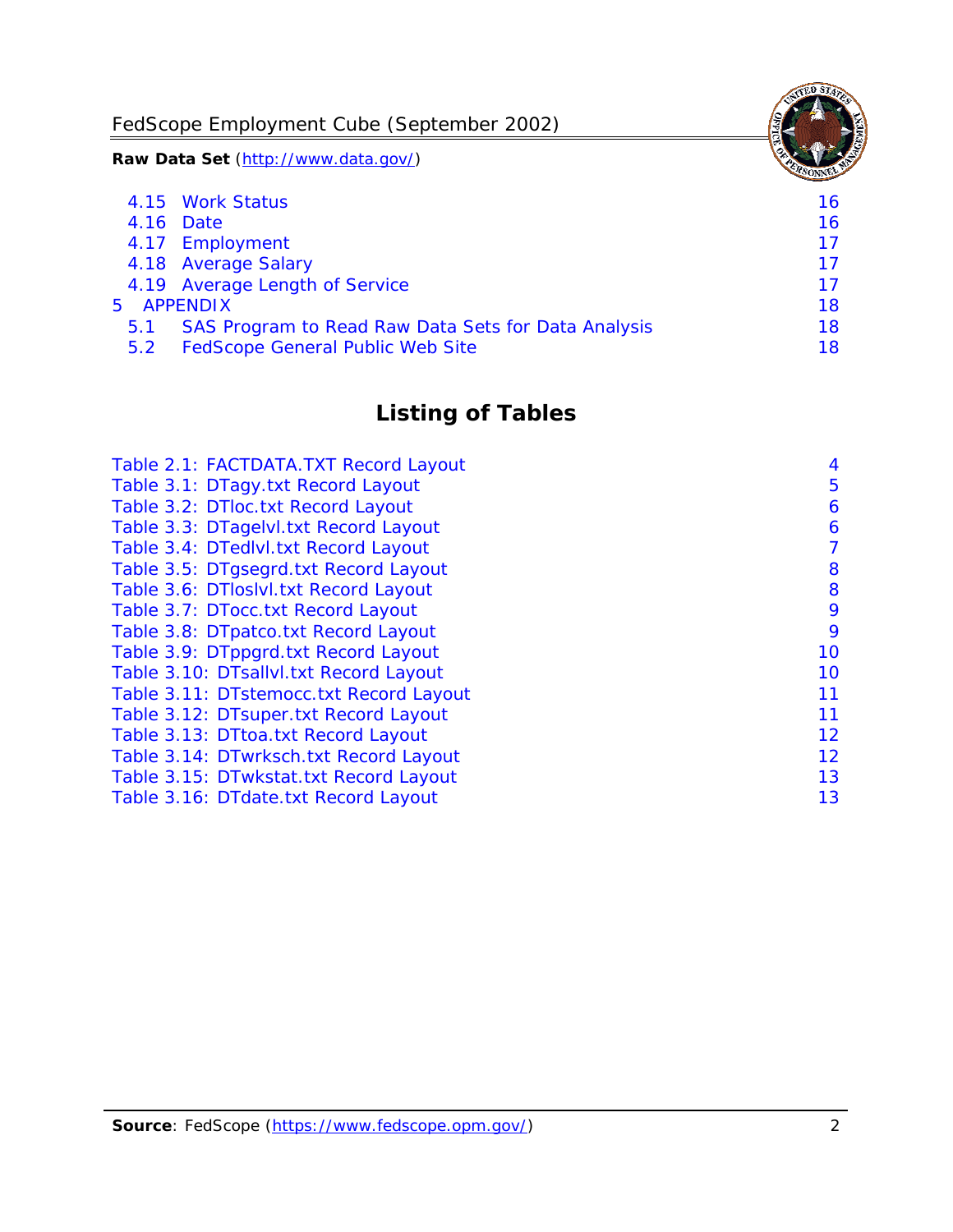FedScope Employment Cube (September 2002)

**Raw Data Set** (http://www.data.gov/)

|               | 4.15 Work Status                                    | 16 |
|---------------|-----------------------------------------------------|----|
|               | 4.16 Date                                           | 16 |
|               | 4.17 Employment                                     | 17 |
|               | 4.18 Average Salary                                 | 17 |
|               | 4.19 Average Length of Service                      | 17 |
|               | 5 APPENDIX                                          | 18 |
| 5.1           | SAS Program to Read Raw Data Sets for Data Analysis | 18 |
| $5.2^{\circ}$ | <b>FedScope General Public Web Site</b>             | 18 |

# **Listing of Tables**

| Table 2.1: FACTDATA.TXT Record Layout   | 4  |
|-----------------------------------------|----|
| Table 3.1: DTagy.txt Record Layout      | 5  |
| Table 3.2: DTloc.txt Record Layout      | 6  |
| Table 3.3: DTagelvl.txt Record Layout   | 6  |
| Table 3.4: DTedlvl.txt Record Layout    | 7  |
| Table 3.5: DTgsegrd.txt Record Layout   | 8  |
| Table 3.6: DTIoslyl.txt Record Layout   | 8  |
| Table 3.7: DTocc.txt Record Layout      | 9  |
| Table 3.8: DTpatco.txt Record Layout    | 9  |
| Table 3.9: DTppgrd.txt Record Layout    | 10 |
| Table 3.10: DTsallvl.txt Record Layout  | 10 |
| Table 3.11: DTstemocc.txt Record Layout | 11 |
| Table 3.12: DTsuper.txt Record Layout   | 11 |
| Table 3.13: DTtoa.txt Record Layout     | 12 |
| Table 3.14: DTwrksch.txt Record Layout  | 12 |
| Table 3.15: DTwkstat.txt Record Layout  | 13 |
| Table 3.16: DTdate.txt Record Layout    | 13 |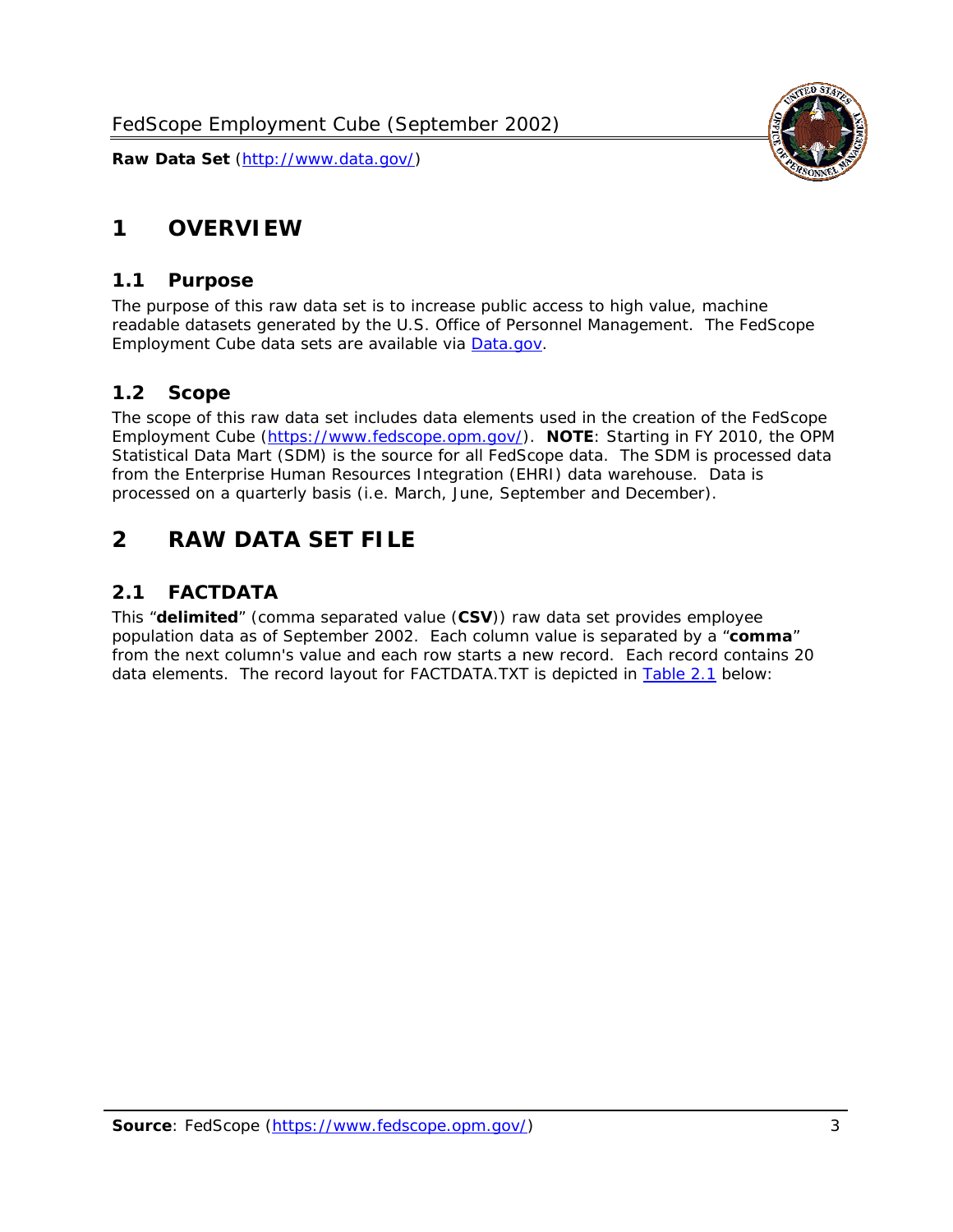<span id="page-3-0"></span>

### *1.1 Purpose*

<span id="page-3-1"></span>The purpose of this raw data set is to increase public access to high value, machine readable datasets generated by the U.S. Office of Personnel Management. The FedScope Employment Cube data sets are available via [Data.gov](http://www.data.gov/).

# <span id="page-3-2"></span>*1.2 Scope*

The scope of this raw data set includes data elements used in the creation of the FedScope Employment Cube [\(https://www.fedscope.opm.gov/\)](https://www.fedscope.opm.gov/). **NOTE**: Starting in FY 2010, the OPM Statistical Data Mart (SDM) is the source for all FedScope data. The SDM is processed data from the Enterprise Human Resources Integration (EHRI) data warehouse. Data is processed on a quarterly basis (i.e. March, June, September and December).

# <span id="page-3-3"></span>**2 RAW DATA SET FILE**

# <span id="page-3-4"></span>*2.1 FACTDATA*

This "**delimited**" (comma separated value (**CSV**)) raw data set provides employee population data as of September 2002. Each column value is separated by a "**comma**" from the next column's value and each row starts a new record. Each record contains 20 data elements. The record layout for FACTDATA.TXT is depicted in [Table 2.1](#page-4-1) below:

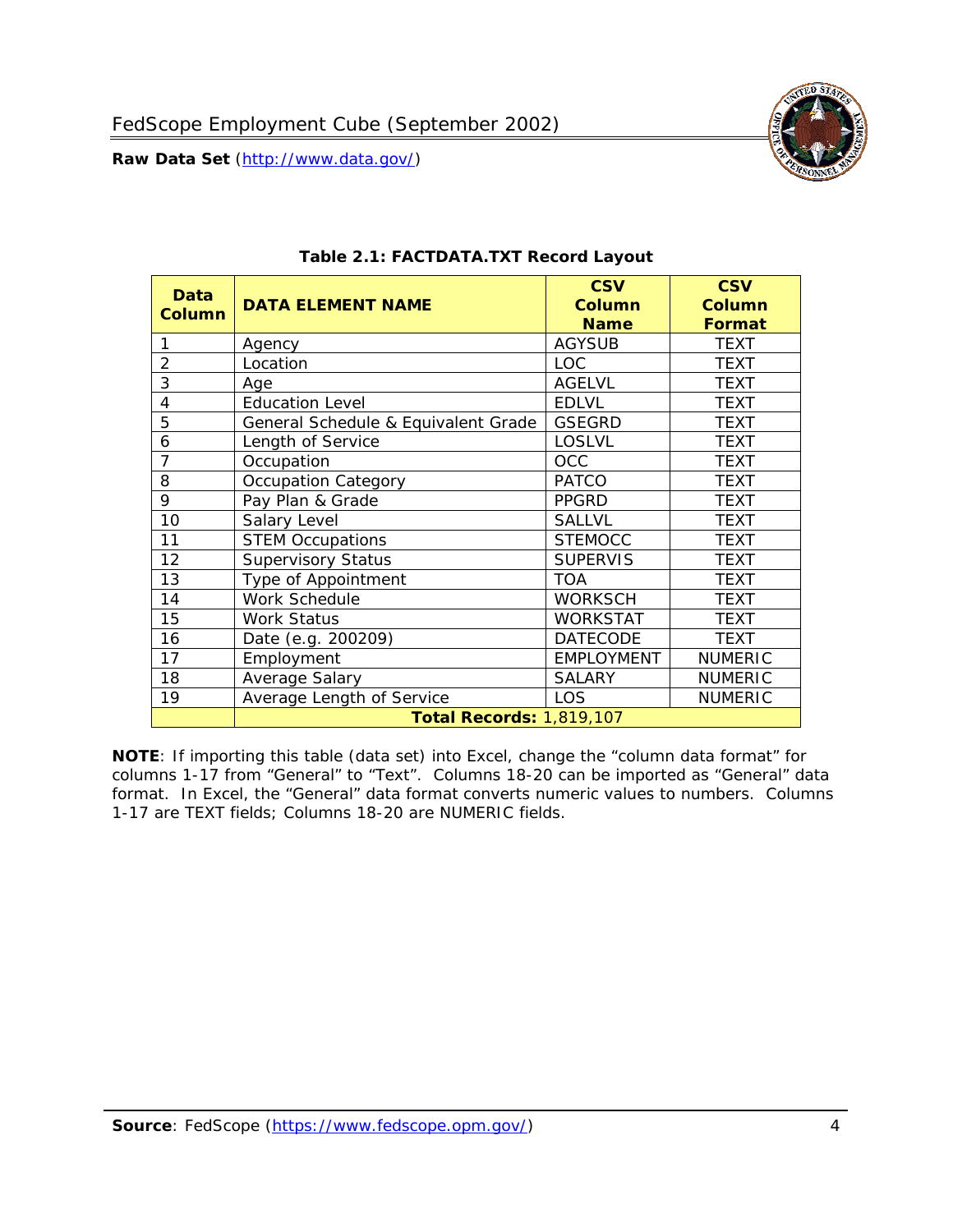<span id="page-4-1"></span><span id="page-4-0"></span>

**NOTE**: If importing this table (data set) into Excel, change the "column data format" for columns 1-17 from "General" to "Text". Columns 18-20 can be imported as "General" data format. In Excel, the "General" data format converts numeric values to numbers. Columns 1-17 are TEXT fields; Columns 18-20 are NUMERIC fields.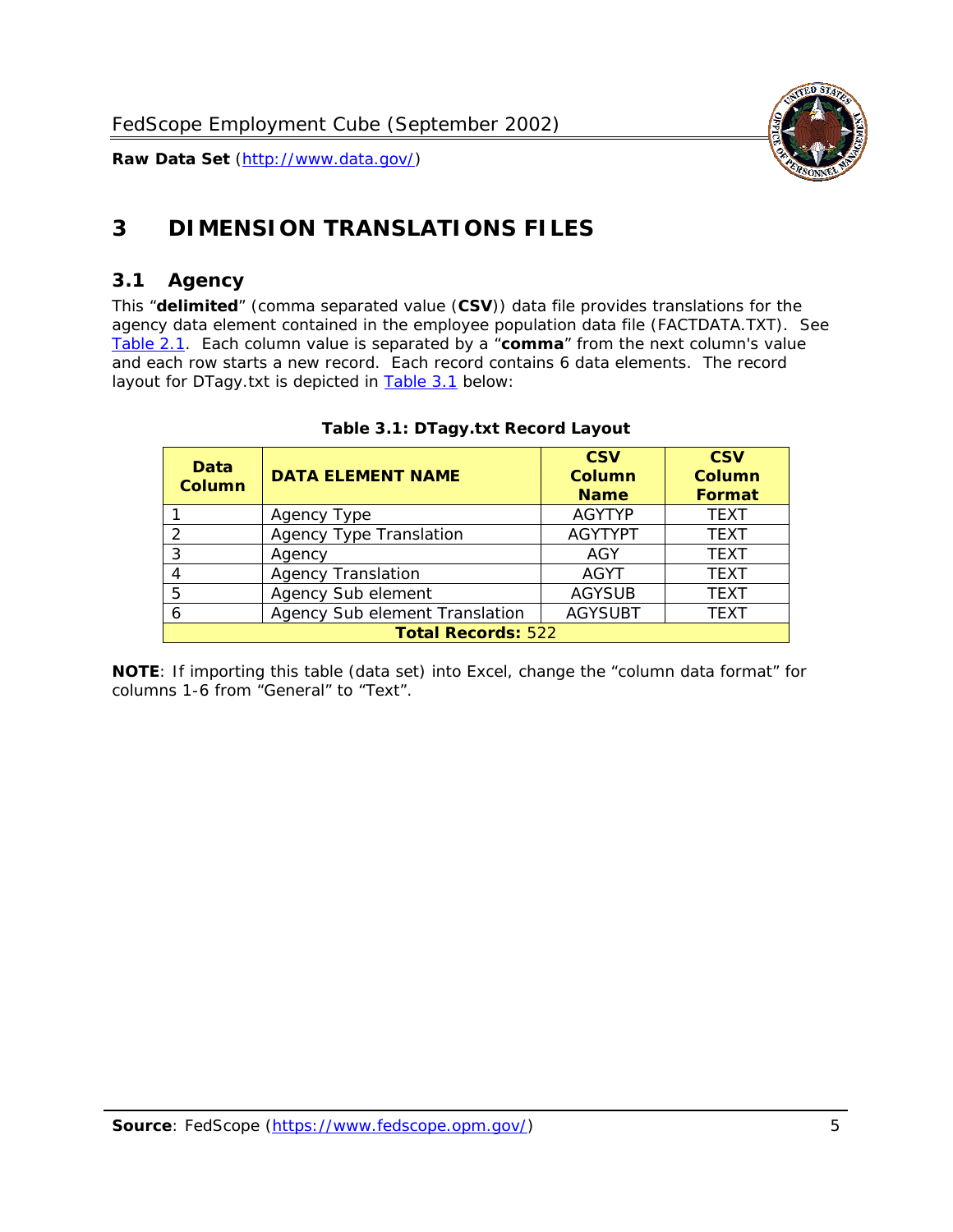

# <span id="page-5-0"></span>**3 DIMENSION TRANSLATIONS FILES**

#### <span id="page-5-1"></span>*3.1 Agency*

<span id="page-5-3"></span><span id="page-5-2"></span>This "**delimited**" (comma separated value (**CSV**)) data file provides translations for the agency data element contained in the employee population data file (FACTDATA.TXT). See [Table 2.1.](#page-4-1) Each column value is separated by a "**comma**" from the next column's value and each row starts a new record. Each record contains 6 data elements. The record layout for DTagy.txt is depicted in **Table 3.1** below:

| Data<br>Column            | <b>DATA ELEMENT NAME</b>       | <b>CSV</b><br>Column<br><b>Name</b> | <b>CSV</b><br>Column<br><b>Format</b> |
|---------------------------|--------------------------------|-------------------------------------|---------------------------------------|
|                           | Agency Type                    | <b>AGYTYP</b>                       | <b>TEXT</b>                           |
|                           | <b>Agency Type Translation</b> | <b>AGYTYPT</b>                      | <b>TEXT</b>                           |
|                           | Agency                         | AGY                                 | <b>TEXT</b>                           |
|                           | <b>Agency Translation</b>      | <b>AGYT</b>                         | <b>TEXT</b>                           |
| .5                        | Agency Sub element             | <b>AGYSUB</b>                       | <b>TEXT</b>                           |
|                           | Agency Sub element Translation | <b>AGYSUBT</b>                      | <b>TEXT</b>                           |
| <b>Total Records: 522</b> |                                |                                     |                                       |

#### **Table 3.1: DTagy.txt Record Layout**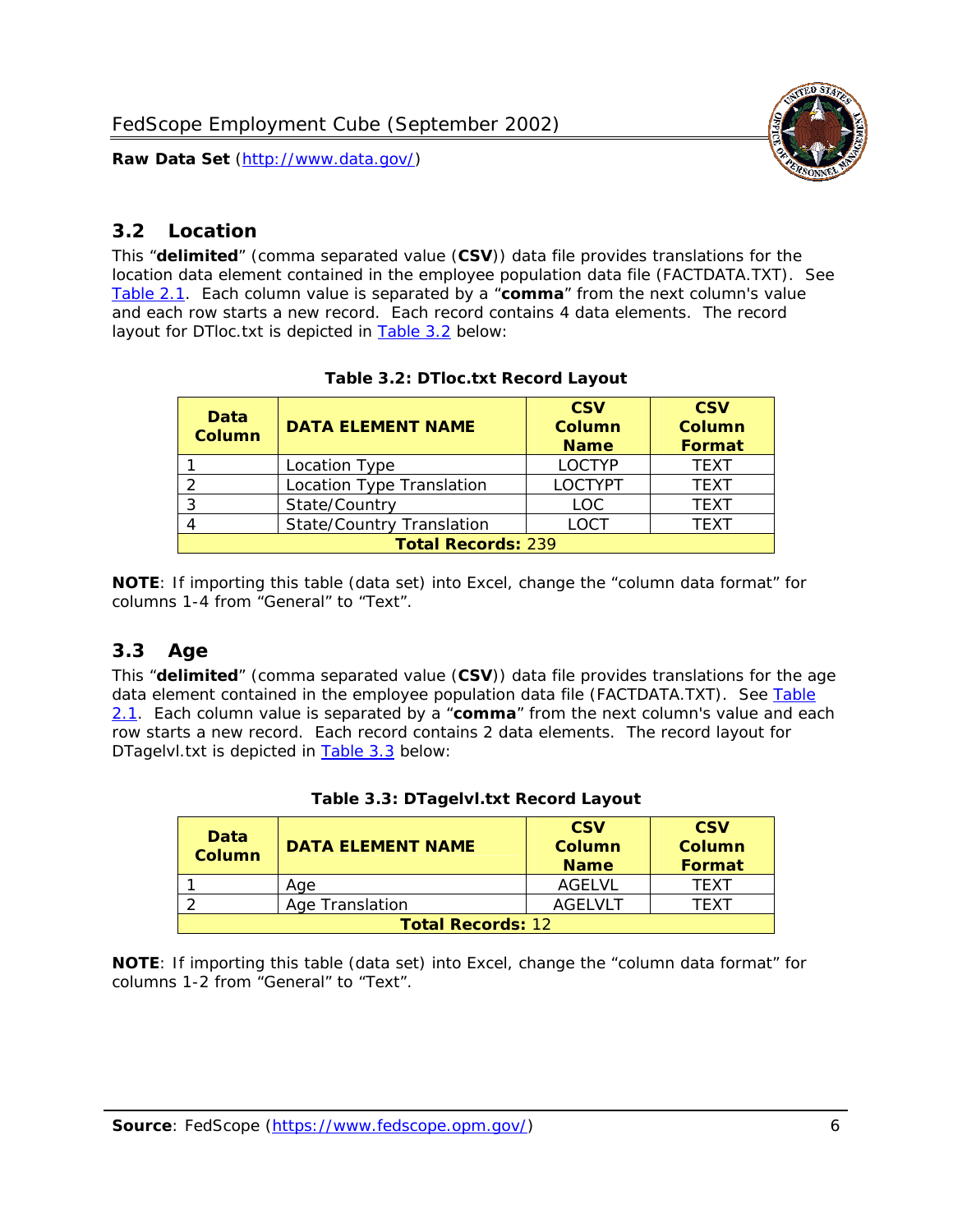

# <span id="page-6-0"></span>*3.2 Location*

<span id="page-6-4"></span><span id="page-6-2"></span>This "**delimited**" (comma separated value (**CSV**)) data file provides translations for the location data element contained in the employee population data file (FACTDATA.TXT). See [Table 2.1.](#page-4-1) Each column value is separated by a "**comma**" from the next column's value and each row starts a new record. Each record contains 4 data elements. The record layout for DTloc.txt is depicted in [Table 3.2](#page-6-4) below:

| Data<br><b>Column</b>     | <b>DATA ELEMENT NAME</b>         | <b>CSV</b><br>Column<br><b>Name</b> | <b>CSV</b><br><b>Column</b><br><b>Format</b> |
|---------------------------|----------------------------------|-------------------------------------|----------------------------------------------|
|                           | Location Type                    | <b>LOCTYP</b>                       | <b>TEXT</b>                                  |
|                           | Location Type Translation        | <b>LOCTYPT</b>                      | <b>TEXT</b>                                  |
| ົ                         | State/Country                    | <b>LOC</b>                          | <b>TFXT</b>                                  |
|                           | <b>State/Country Translation</b> | LOCT                                | <b>TFXT</b>                                  |
| <b>Total Records: 239</b> |                                  |                                     |                                              |

#### **Table 3.2: DTloc.txt Record Layout**

**NOTE**: If importing this table (data set) into Excel, change the "column data format" for columns 1-4 from "General" to "Text".

#### <span id="page-6-1"></span>*3.3 Age*

<span id="page-6-5"></span><span id="page-6-3"></span>This "**delimited**" (comma separated value (**CSV**)) data file provides translations for the age data element contained in the employee population data file (FACTDATA.TXT). See [Table](#page-4-1) [2.1](#page-4-1). Each column value is separated by a "**comma**" from the next column's value and each row starts a new record. Each record contains 2 data elements. The record layout for DTagelvl.txt is depicted in **[Table 3.3](#page-6-5)** below:

| Data<br>Column           | <b>DATA ELEMENT NAME</b> | <b>CSV</b><br>Column<br><b>Name</b> | <b>CSV</b><br>Column<br><b>Format</b> |
|--------------------------|--------------------------|-------------------------------------|---------------------------------------|
|                          | Aae                      | AGFI VI                             | TFXT                                  |
|                          | Age Translation          | AGFI VI T                           | TFXT                                  |
| <b>Total Records: 12</b> |                          |                                     |                                       |

#### **Table 3.3: DTagelvl.txt Record Layout**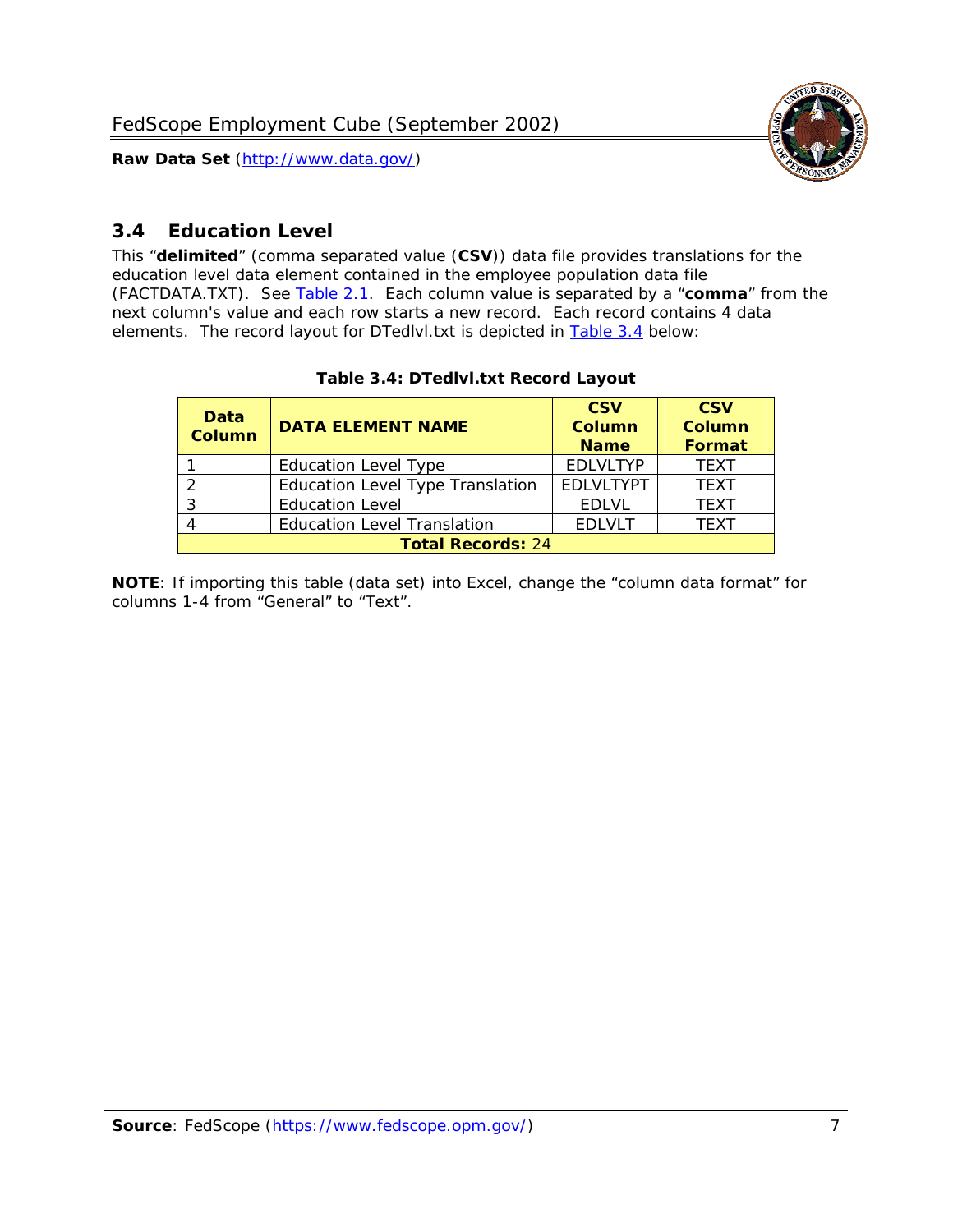

# <span id="page-7-0"></span>*3.4 Education Level*

<span id="page-7-2"></span><span id="page-7-1"></span>This "**delimited**" (comma separated value (**CSV**)) data file provides translations for the education level data element contained in the employee population data file (FACTDATA.TXT). See [Table 2.1](#page-4-1). Each column value is separated by a "**comma**" from the next column's value and each row starts a new record. Each record contains 4 data elements. The record layout for DTedlvl.txt is depicted in [Table 3.4](#page-7-2) below:

| Data<br><b>Column</b>    | <b>DATA ELEMENT NAME</b>           | <b>CSV</b><br><b>Column</b><br><b>Name</b> | <b>CSV</b><br><b>Column</b><br>Format |
|--------------------------|------------------------------------|--------------------------------------------|---------------------------------------|
|                          | <b>Education Level Type</b>        | <b>EDLVLTYP</b>                            | <b>TEXT</b>                           |
|                          | Education Level Type Translation   | <b>EDLVLTYPT</b>                           | <b>TEXT</b>                           |
| ົ                        | <b>Education Level</b>             | <b>EDLVL</b>                               | <b>TEXT</b>                           |
|                          | <b>Education Level Translation</b> | <b>FDIVIT</b>                              | <b>TEXT</b>                           |
| <b>Total Records: 24</b> |                                    |                                            |                                       |

#### **Table 3.4: DTedlvl.txt Record Layout**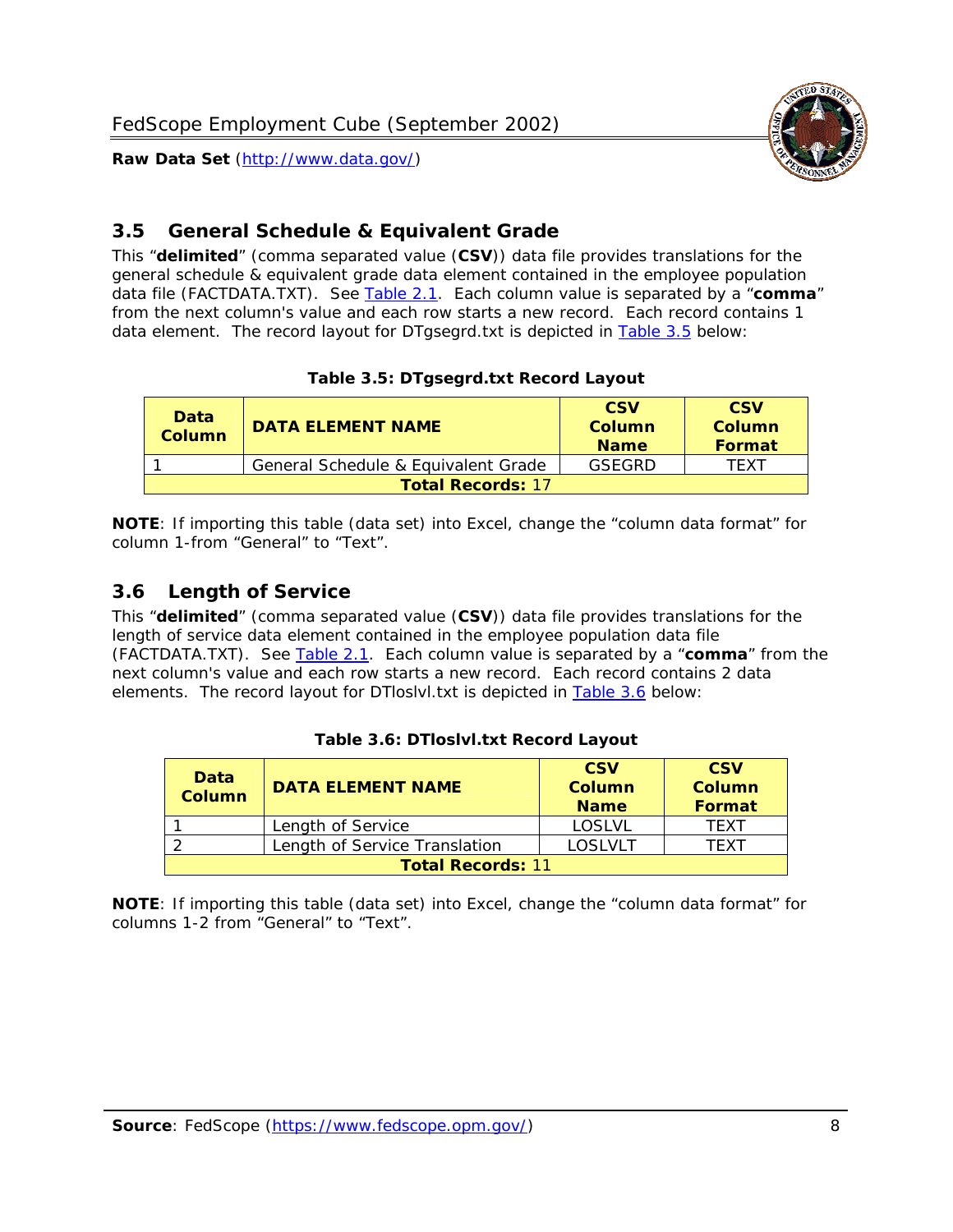

<span id="page-8-0"></span>

This "**delimited**" (comma separated value (**CSV**)) data file provides translations for the general schedule & equivalent grade data element contained in the employee population data file (FACTDATA.TXT). See [Table 2.1](#page-4-1). Each column value is separated by a "**comma**" from the next column's value and each row starts a new record. Each record contains 1 data element. The record layout for DTgsegrd.txt is depicted in [Table 3.5](#page-8-4) below:

#### **Table 3.5: DTgsegrd.txt Record Layout**

<span id="page-8-4"></span><span id="page-8-2"></span>

| Data<br>Column           | <b>DATA ELEMENT NAME</b>            | <b>CSV</b><br>Column<br><b>Name</b> | <b>CSV</b><br>Column<br>Format |
|--------------------------|-------------------------------------|-------------------------------------|--------------------------------|
|                          | General Schedule & Equivalent Grade | GSFGRD                              | <b>TFXT</b>                    |
| <b>Total Records: 17</b> |                                     |                                     |                                |

**NOTE**: If importing this table (data set) into Excel, change the "column data format" for column 1-from "General" to "Text".

#### <span id="page-8-1"></span>*3.6 Length of Service*

<span id="page-8-5"></span><span id="page-8-3"></span>This "**delimited**" (comma separated value (**CSV**)) data file provides translations for the length of service data element contained in the employee population data file (FACTDATA.TXT). See [Table 2.1](#page-4-1). Each column value is separated by a "**comma**" from the next column's value and each row starts a new record. Each record contains 2 data elements. The record layout for DTloslvl.txt is depicted in [Table 3.6](#page-8-5) below:

| Data<br><b>Column</b>    | <b>DATA ELEMENT NAME</b>      | <b>CSV</b><br><b>Column</b><br><b>Name</b> | <b>CSV</b><br>Column<br>Format |
|--------------------------|-------------------------------|--------------------------------------------|--------------------------------|
|                          | Length of Service             | LOSLVL                                     | TFXT                           |
|                          | Length of Service Translation | LOSI VLT                                   | TFXT                           |
| <b>Total Records: 11</b> |                               |                                            |                                |

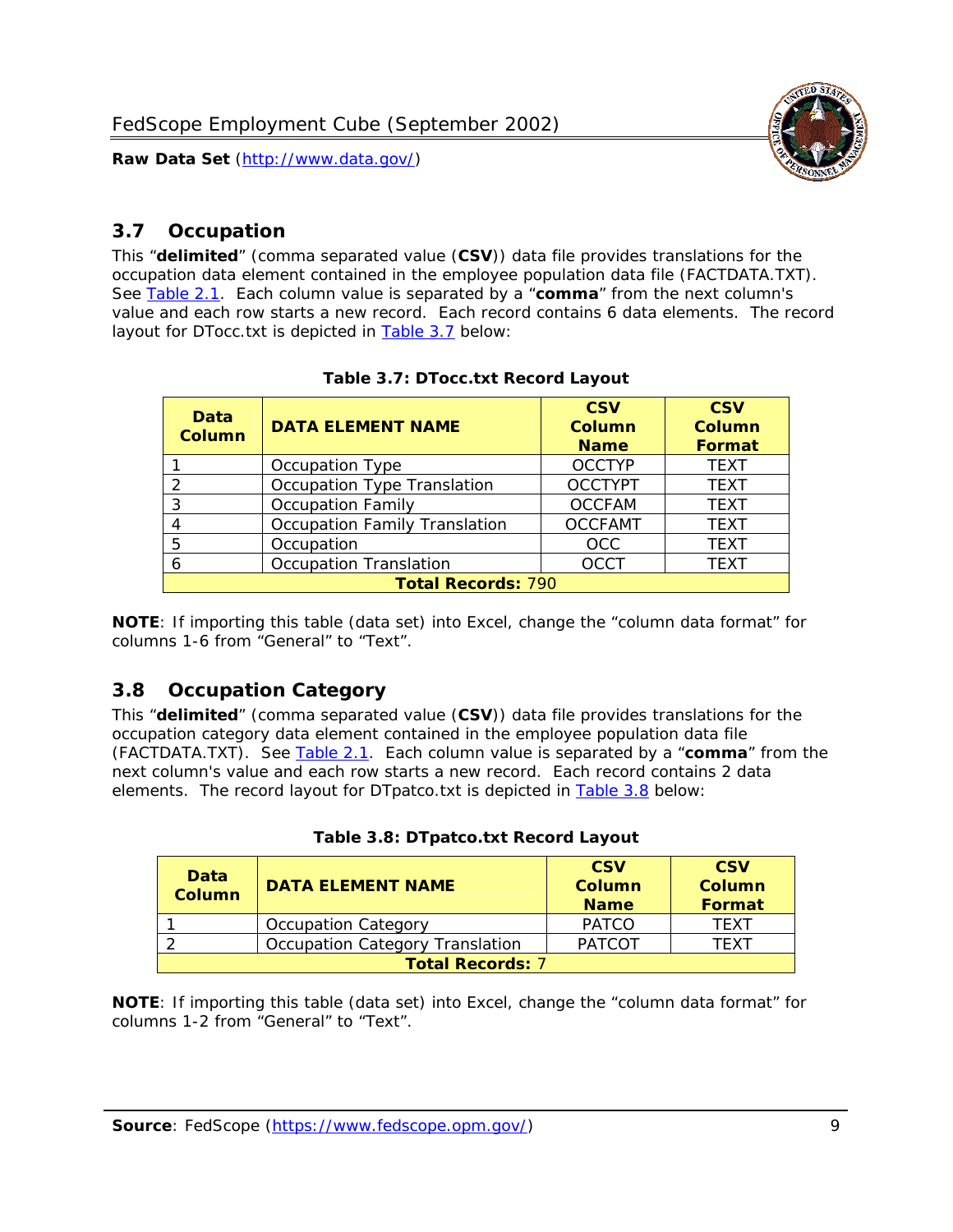

### <span id="page-9-0"></span>*3.7 Occupation*

<span id="page-9-4"></span>This "**delimited**" (comma separated value (**CSV**)) data file provides translations for the occupation data element contained in the employee population data file (FACTDATA.TXT). See [Table 2.1](#page-4-1). Each column value is separated by a "**comma**" from the next column's value and each row starts a new record. Each record contains 6 data elements. The record layout for DTocc.txt is depicted in [Table 3.7](#page-9-4) below:

<span id="page-9-2"></span>

| Data<br><b>Column</b>     | <b>DATA ELEMENT NAME</b>             | <b>CSV</b><br>Column<br><b>Name</b> | <b>CSV</b><br>Column<br><b>Format</b> |
|---------------------------|--------------------------------------|-------------------------------------|---------------------------------------|
|                           | Occupation Type                      | <b>OCCTYP</b>                       | <b>TEXT</b>                           |
|                           | Occupation Type Translation          | <b>OCCTYPT</b>                      | <b>TEXT</b>                           |
| 2                         | <b>Occupation Family</b>             | <b>OCCFAM</b>                       | <b>TEXT</b>                           |
|                           | <b>Occupation Family Translation</b> | <b>OCCFAMT</b>                      | <b>TEXT</b>                           |
| 5                         | Occupation                           | <b>OCC</b>                          | <b>TEXT</b>                           |
|                           | <b>Occupation Translation</b>        | <b>OCCT</b>                         | <b>TEXT</b>                           |
| <b>Total Records: 790</b> |                                      |                                     |                                       |

#### **Table 3.7: DTocc.txt Record Layout**

**NOTE**: If importing this table (data set) into Excel, change the "column data format" for columns 1-6 from "General" to "Text".

#### <span id="page-9-1"></span>*3.8 Occupation Category*

<span id="page-9-5"></span>This "**delimited**" (comma separated value (**CSV**)) data file provides translations for the occupation category data element contained in the employee population data file (FACTDATA.TXT). See [Table 2.1](#page-4-1). Each column value is separated by a "**comma**" from the next column's value and each row starts a new record. Each record contains 2 data elements. The record layout for DTpatco.txt is depicted in [Table 3.8](#page-9-5) below:

<span id="page-9-3"></span>

| Data<br><b>Column</b>   | <b>DATA ELEMENT NAME</b>        | <b>CSV</b><br>Column<br><b>Name</b> | <b>CSV</b><br>Column<br>Format |
|-------------------------|---------------------------------|-------------------------------------|--------------------------------|
|                         | <b>Occupation Category</b>      | <b>PATCO</b>                        | <b>TFXT</b>                    |
|                         | Occupation Category Translation | <b>PATCOT</b>                       | TFXT                           |
| <b>Total Records: 7</b> |                                 |                                     |                                |

|  |  | Table 3.8: DTpatco.txt Record Layout |  |  |
|--|--|--------------------------------------|--|--|
|--|--|--------------------------------------|--|--|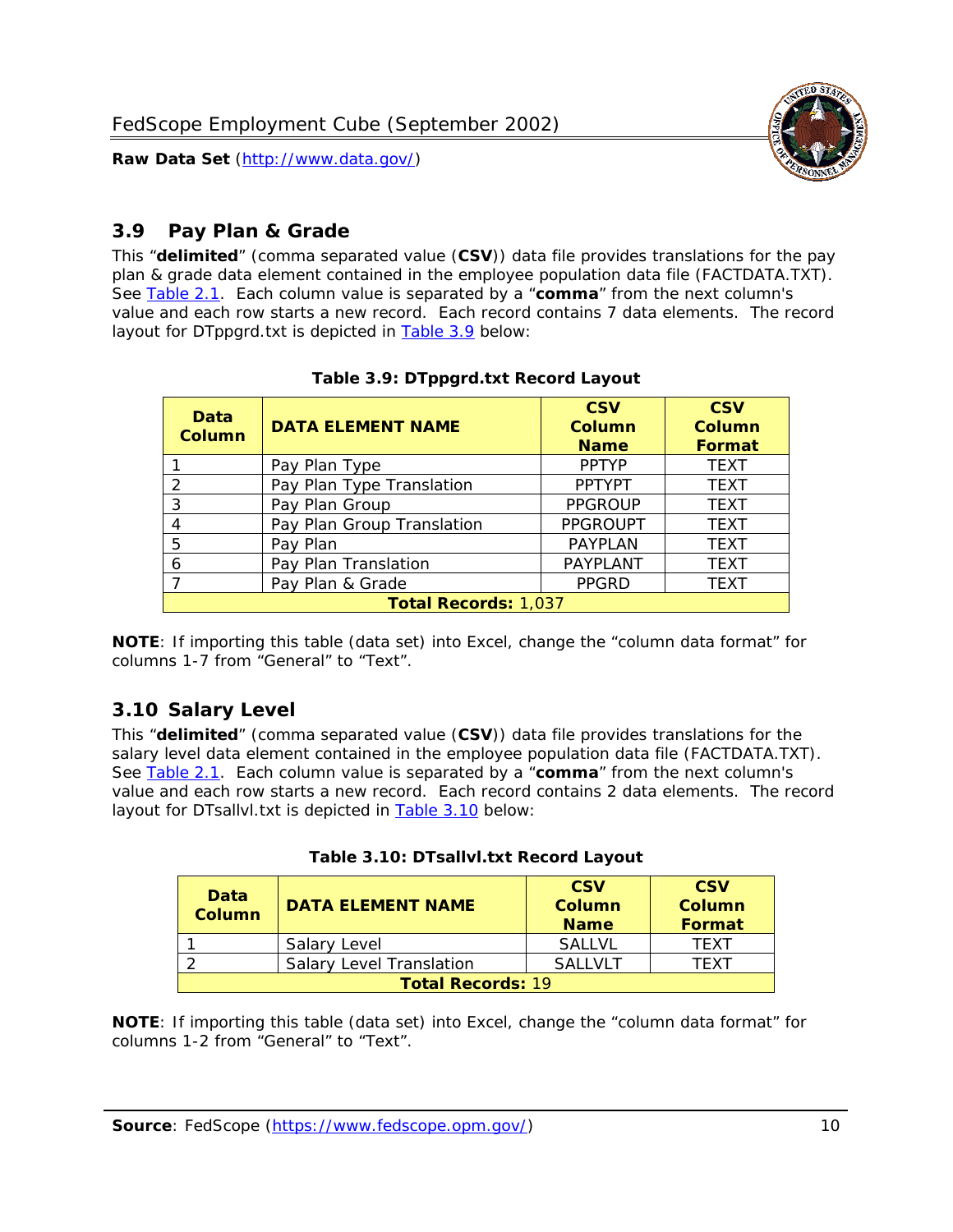

# <span id="page-10-0"></span>*3.9 Pay Plan & Grade*

<span id="page-10-4"></span>This "**delimited**" (comma separated value (**CSV**)) data file provides translations for the pay plan & grade data element contained in the employee population data file (FACTDATA.TXT). See [Table 2.1](#page-4-1). Each column value is separated by a "**comma**" from the next column's value and each row starts a new record. Each record contains 7 data elements. The record layout for DTppgrd.txt is depicted in **Table 3.9** below:

<span id="page-10-2"></span>

| Data<br><b>Column</b> | <b>DATA ELEMENT NAME</b>    | <b>CSV</b><br>Column<br><b>Name</b> | <b>CSV</b><br>Column<br><b>Format</b> |
|-----------------------|-----------------------------|-------------------------------------|---------------------------------------|
|                       | Pay Plan Type               | <b>PPTYP</b>                        | <b>TEXT</b>                           |
| $\mathcal{P}$         | Pay Plan Type Translation   | <b>PPTYPT</b>                       | <b>TEXT</b>                           |
| 3                     | Pay Plan Group              | <b>PPGROUP</b>                      | <b>TEXT</b>                           |
|                       | Pay Plan Group Translation  | <b>PPGROUPT</b>                     | <b>TEXT</b>                           |
| 5                     | Pay Plan                    | <b>PAYPLAN</b>                      | <b>TEXT</b>                           |
| 6                     | Pay Plan Translation        | PAYPLANT                            | <b>TEXT</b>                           |
|                       | Pay Plan & Grade            | <b>PPGRD</b>                        | <b>TEXT</b>                           |
|                       | <b>Total Records: 1,037</b> |                                     |                                       |

#### **Table 3.9: DTppgrd.txt Record Layout**

**NOTE**: If importing this table (data set) into Excel, change the "column data format" for columns 1-7 from "General" to "Text".

# <span id="page-10-1"></span>*3.10 Salary Level*

<span id="page-10-5"></span><span id="page-10-3"></span>This "**delimited**" (comma separated value (**CSV**)) data file provides translations for the salary level data element contained in the employee population data file (FACTDATA.TXT). See [Table 2.1](#page-4-1). Each column value is separated by a "**comma**" from the next column's value and each row starts a new record. Each record contains 2 data elements. The record layout for DTsallvl.txt is depicted in [Table 3.10](#page-10-5) below:

| <b>Data</b><br>Column    | <b>DATA ELEMENT NAME</b>        | <b>CSV</b><br>Column<br><b>Name</b> | <b>CSV</b><br>Column<br><b>Format</b> |  |
|--------------------------|---------------------------------|-------------------------------------|---------------------------------------|--|
|                          | Salary Level                    | <b>SALLVL</b>                       | TFXT                                  |  |
|                          | <b>Salary Level Translation</b> | SAI I VI T                          | TEXT                                  |  |
| <b>Total Records: 19</b> |                                 |                                     |                                       |  |

| Table 3.10: DTsallvl.txt Record Layout |  |
|----------------------------------------|--|
|----------------------------------------|--|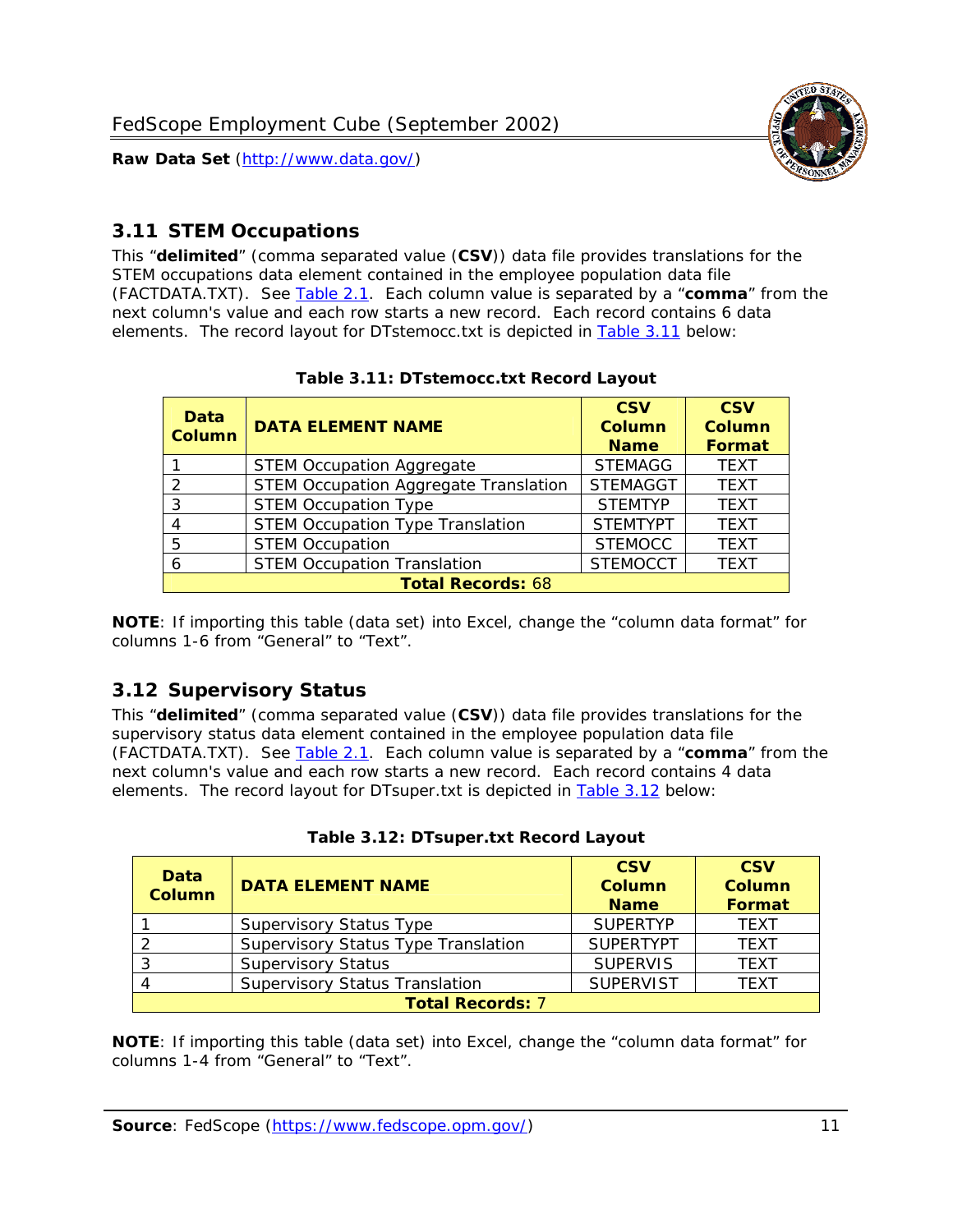

# <span id="page-11-0"></span>*3.11 STEM Occupations*

<span id="page-11-4"></span>This "**delimited**" (comma separated value (**CSV**)) data file provides translations for the STEM occupations data element contained in the employee population data file (FACTDATA.TXT). See [Table 2.1](#page-4-1). Each column value is separated by a "**comma**" from the next column's value and each row starts a new record. Each record contains 6 data elements. The record layout for DTstemocc.txt is depicted in [Table 3.11](#page-11-4) below:

<span id="page-11-2"></span>

| <b>Data</b><br><b>Column</b> | <b>DATA ELEMENT NAME</b>                     | <b>CSV</b><br>Column<br><b>Name</b> | <b>CSV</b><br><b>Column</b><br><b>Format</b> |
|------------------------------|----------------------------------------------|-------------------------------------|----------------------------------------------|
|                              | <b>STEM Occupation Aggregate</b>             | <b>STEMAGG</b>                      | <b>TEXT</b>                                  |
|                              | <b>STEM Occupation Aggregate Translation</b> | <b>STEMAGGT</b>                     | <b>TEXT</b>                                  |
| 3                            | <b>STEM Occupation Type</b>                  | <b>STEMTYP</b>                      | <b>TEXT</b>                                  |
|                              | <b>STEM Occupation Type Translation</b>      | <b>STEMTYPT</b>                     | <b>TEXT</b>                                  |
| 5                            | <b>STEM Occupation</b>                       | <b>STEMOCC</b>                      | <b>TEXT</b>                                  |
|                              | <b>STEM Occupation Translation</b>           | <b>STEMOCCT</b>                     | <b>TEXT</b>                                  |
|                              | <b>Total Records: 68</b>                     |                                     |                                              |

#### **Table 3.11: DTstemocc.txt Record Layout**

**NOTE**: If importing this table (data set) into Excel, change the "column data format" for columns 1-6 from "General" to "Text".

# <span id="page-11-1"></span>*3.12 Supervisory Status*

This "**delimited**" (comma separated value (**CSV**)) data file provides translations for the supervisory status data element contained in the employee population data file (FACTDATA.TXT). See [Table 2.1](#page-4-1). Each column value is separated by a "**comma**" from the next column's value and each row starts a new record. Each record contains 4 data elements. The record layout for DTsuper.txt is depicted in [Table 3.12](#page-11-5) below:

<span id="page-11-5"></span><span id="page-11-3"></span>

| Data<br><b>Column</b>   | <b>DATA ELEMENT NAME</b>              | <b>CSV</b><br>Column<br><b>Name</b> | <b>CSV</b><br>Column<br>Format |  |  |
|-------------------------|---------------------------------------|-------------------------------------|--------------------------------|--|--|
|                         | <b>Supervisory Status Type</b>        | <b>SUPFRTYP</b>                     | <b>TEXT</b>                    |  |  |
|                         | Supervisory Status Type Translation   | <b>SUPERTYPT</b>                    | <b>TEXT</b>                    |  |  |
|                         | <b>Supervisory Status</b>             | <b>SUPERVIS</b>                     | <b>TEXT</b>                    |  |  |
|                         | <b>Supervisory Status Translation</b> | <b>SUPERVIST</b>                    | <b>TEXT</b>                    |  |  |
| <b>Total Records: 7</b> |                                       |                                     |                                |  |  |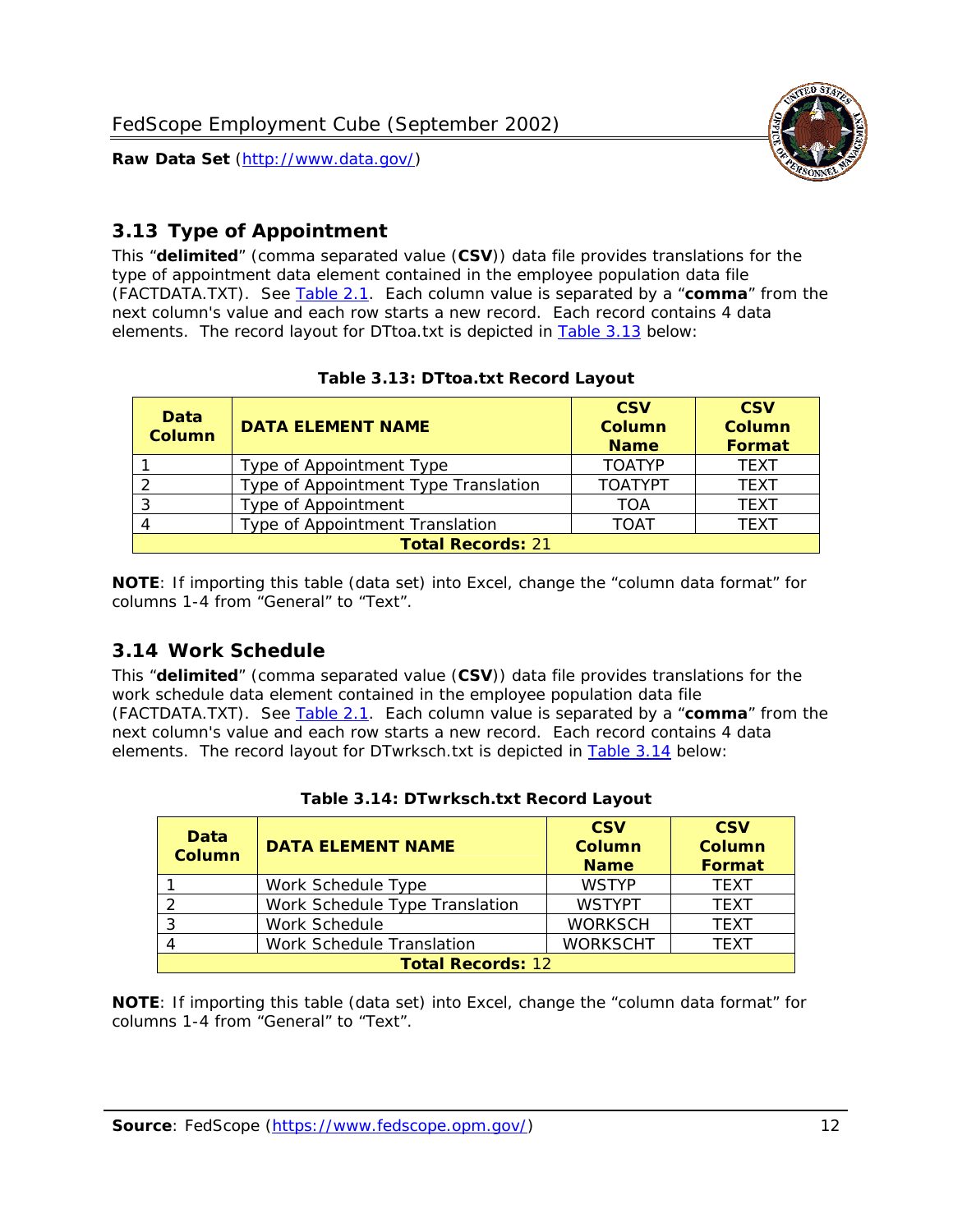

# <span id="page-12-0"></span>*3.13 Type of Appointment*

This "**delimited**" (comma separated value (**CSV**)) data file provides translations for the type of appointment data element contained in the employee population data file (FACTDATA.TXT). See [Table 2.1](#page-4-1). Each column value is separated by a "**comma**" from the next column's value and each row starts a new record. Each record contains 4 data elements. The record layout for DTtoa.txt is depicted in [Table 3.13](#page-12-4) below:

<span id="page-12-4"></span><span id="page-12-2"></span>

| Data<br><b>Column</b>    | <b>DATA ELEMENT NAME</b>             | <b>CSV</b><br><b>Column</b><br><b>Name</b> | <b>CSV</b><br><b>Column</b><br><b>Format</b> |  |
|--------------------------|--------------------------------------|--------------------------------------------|----------------------------------------------|--|
|                          | Type of Appointment Type             | <b>TOATYP</b>                              | <b>TFXT</b>                                  |  |
|                          | Type of Appointment Type Translation | <b>TOATYPT</b>                             | <b>TEXT</b>                                  |  |
|                          | Type of Appointment                  | <b>TOA</b>                                 | <b>TEXT</b>                                  |  |
|                          | Type of Appointment Translation      | <b>TOAT</b>                                | <b>TFXT</b>                                  |  |
| <b>Total Records: 21</b> |                                      |                                            |                                              |  |

#### **Table 3.13: DTtoa.txt Record Layout**

**NOTE**: If importing this table (data set) into Excel, change the "column data format" for columns 1-4 from "General" to "Text".

#### <span id="page-12-1"></span>*3.14 Work Schedule*

<span id="page-12-5"></span>This "**delimited**" (comma separated value (**CSV**)) data file provides translations for the work schedule data element contained in the employee population data file (FACTDATA.TXT). See [Table 2.1](#page-4-1). Each column value is separated by a "**comma**" from the next column's value and each row starts a new record. Each record contains 4 data elements. The record layout for DTwrksch.txt is depicted in [Table 3.14](#page-12-5) below:

<span id="page-12-3"></span>

| Data<br>Column           | <b>DATA ELEMENT NAME</b>       | <b>CSV</b><br><b>Column</b><br><b>Name</b> | <b>CSV</b><br>Column<br><b>Format</b> |  |  |
|--------------------------|--------------------------------|--------------------------------------------|---------------------------------------|--|--|
|                          | Work Schedule Type             | <b>WSTYP</b>                               | <b>TEXT</b>                           |  |  |
| 2                        | Work Schedule Type Translation | <b>WSTYPT</b>                              | <b>TFXT</b>                           |  |  |
| 3                        | Work Schedule                  | <b>WORKSCH</b>                             | <b>TFXT</b>                           |  |  |
|                          | Work Schedule Translation      | <b>WORKSCHT</b>                            | <b>TFXT</b>                           |  |  |
| <b>Total Records: 12</b> |                                |                                            |                                       |  |  |

|  | Table 3.14: DTwrksch.txt Record Layout |  |  |
|--|----------------------------------------|--|--|
|  |                                        |  |  |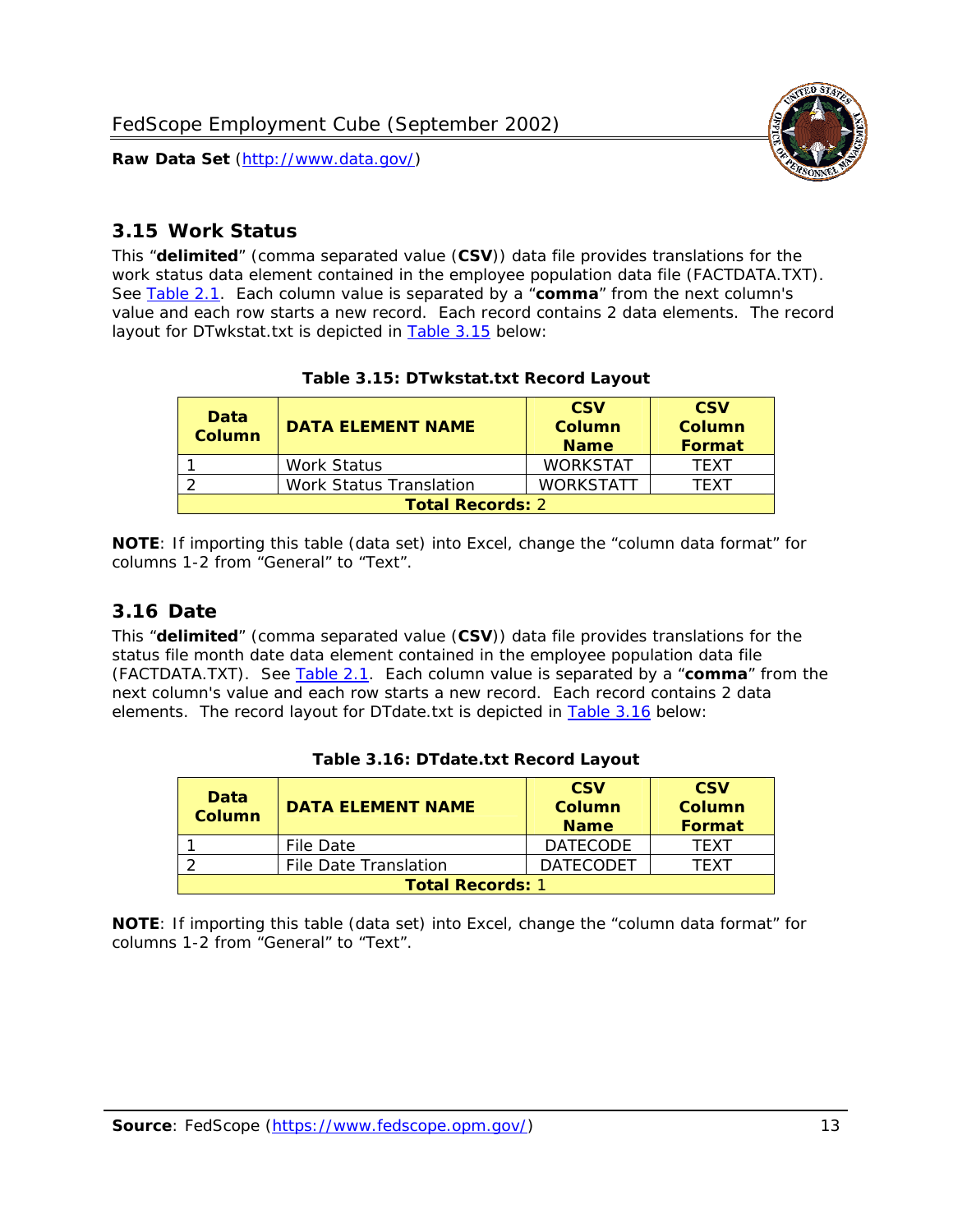

#### <span id="page-13-0"></span>*3.15 Work Status*

<span id="page-13-4"></span><span id="page-13-2"></span>This "**delimited**" (comma separated value (**CSV**)) data file provides translations for the work status data element contained in the employee population data file (FACTDATA.TXT). See [Table 2.1](#page-4-1). Each column value is separated by a "**comma**" from the next column's value and each row starts a new record. Each record contains 2 data elements. The record layout for DTwkstat.txt is depicted in [Table 3.15](#page-13-4) below:

| Data<br><b>Column</b>   | <b>DATA ELEMENT NAME</b> | <b>CSV</b><br>Column<br><b>Name</b> | <b>CSV</b><br>Column<br>Format |  |
|-------------------------|--------------------------|-------------------------------------|--------------------------------|--|
|                         | Work Status              | <b>WORKSTAT</b>                     | TFXT                           |  |
|                         | Work Status Translation  | <b>WORKSTATT</b>                    | TFXT                           |  |
| <b>Total Records: 2</b> |                          |                                     |                                |  |

#### **Table 3.15: DTwkstat.txt Record Layout**

**NOTE**: If importing this table (data set) into Excel, change the "column data format" for columns 1-2 from "General" to "Text".

#### <span id="page-13-1"></span>*3.16 Date*

<span id="page-13-5"></span><span id="page-13-3"></span>This "**delimited**" (comma separated value (**CSV**)) data file provides translations for the status file month date data element contained in the employee population data file (FACTDATA.TXT). See [Table 2.1](#page-4-1). Each column value is separated by a "**comma**" from the next column's value and each row starts a new record. Each record contains 2 data elements. The record layout for DTdate.txt is depicted in [Table 3.16](#page-13-5) below:

| Data<br><b>Column</b>   | <b>DATA FI FMFNT NAMF</b> | <b>CSV</b><br>Column<br><b>Name</b> | <b>CSV</b><br>Column<br>Format |  |
|-------------------------|---------------------------|-------------------------------------|--------------------------------|--|
|                         | File Date                 | <b>DATECODE</b>                     | TFXT                           |  |
|                         | File Date Translation     | <b>DATECODET</b>                    | TFXT                           |  |
| <b>Total Records: 1</b> |                           |                                     |                                |  |

| Table 3.16: DTdate.txt Record Layout |
|--------------------------------------|
|--------------------------------------|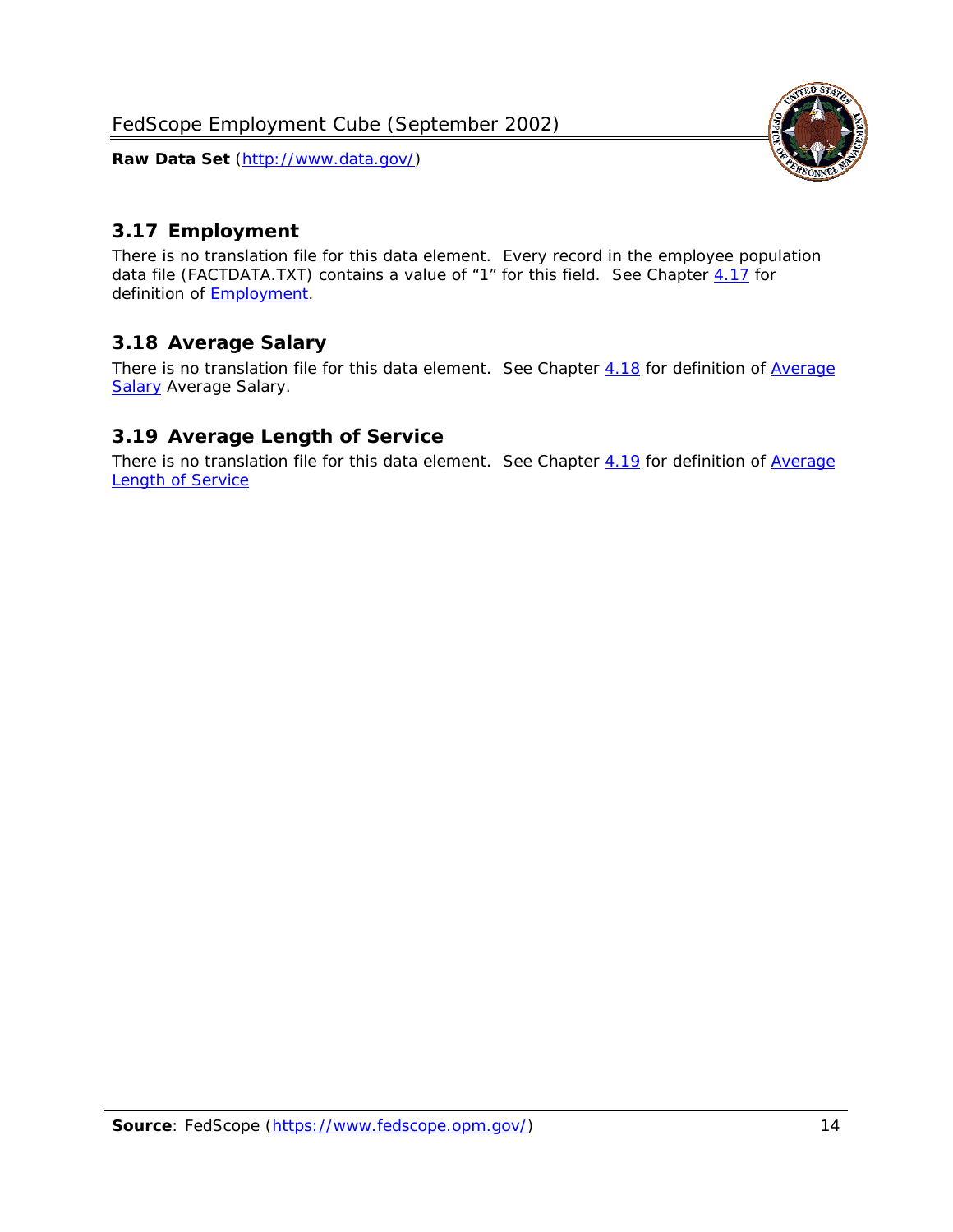

# <span id="page-14-0"></span>*3.17 Employment*

There is no translation file for this data element. Every record in the employee population data file (FACTDATA.TXT) contains a value of "1" for this field. See Chapter [4.17](#page-16-8) for definition of **Employment**.

# <span id="page-14-1"></span>*3.18 Average Salary*

There is no translation file for this data element. See Chapter [4.18](#page-17-1) for definition of [Average](#page-17-1) **[Salary](#page-17-1) [Average Salary.](#page-17-1)** 

#### <span id="page-14-2"></span>*3.19 Average Length of Service*

There is no translation file for this data element. See Chapter [4.19](#page-17-2) for definition of [Average](#page-17-2) Length of Service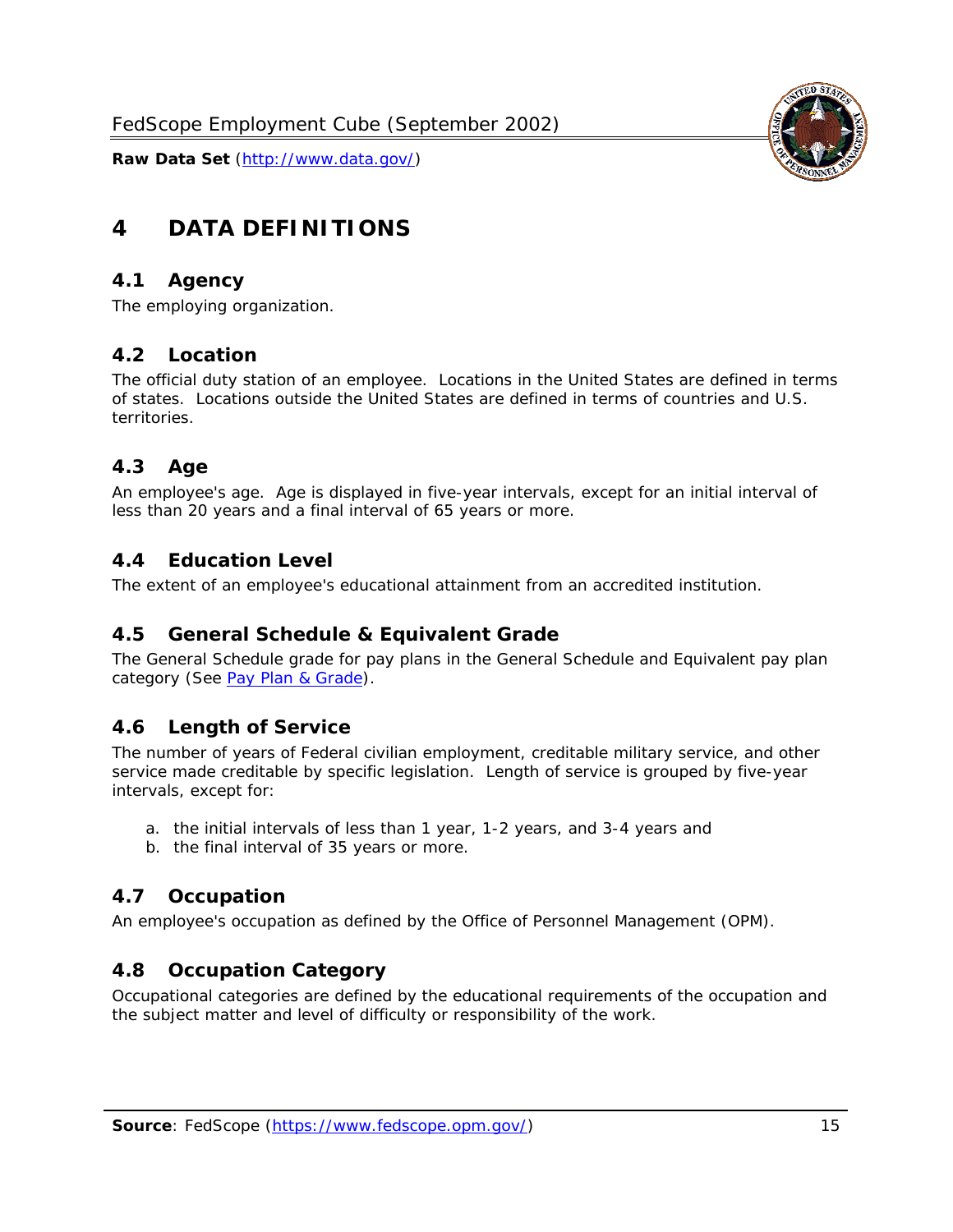

# <span id="page-15-0"></span>**4 DATA DEFINITIONS**

#### <span id="page-15-1"></span>*4.1 Agency*

The employing organization.

#### <span id="page-15-2"></span>*4.2 Location*

The official duty station of an employee. Locations in the United States are defined in terms of states. Locations outside the United States are defined in terms of countries and U.S. territories.

#### <span id="page-15-3"></span>*4.3 Age*

An employee's age. Age is displayed in five-year intervals, except for an initial interval of less than 20 years and a final interval of 65 years or more.

#### <span id="page-15-4"></span>*4.4 Education Level*

The extent of an employee's educational attainment from an accredited institution.

#### <span id="page-15-5"></span>*4.5 General Schedule & Equivalent Grade*

The General Schedule grade for pay plans in the General Schedule and Equivalent pay plan category (See [Pay Plan & Grade](#page-16-0)).

#### <span id="page-15-6"></span>*4.6 Length of Service*

The number of years of Federal civilian employment, creditable military service, and other service made creditable by specific legislation. Length of service is grouped by five-year intervals, except for:

- a. the initial intervals of less than 1 year, 1-2 years, and 3-4 years and
- b. the final interval of 35 years or more.

#### <span id="page-15-7"></span>*4.7 Occupation*

An employee's occupation as defined by the Office of Personnel Management (OPM).

#### <span id="page-15-8"></span>*4.8 Occupation Category*

Occupational categories are defined by the educational requirements of the occupation and the subject matter and level of difficulty or responsibility of the work.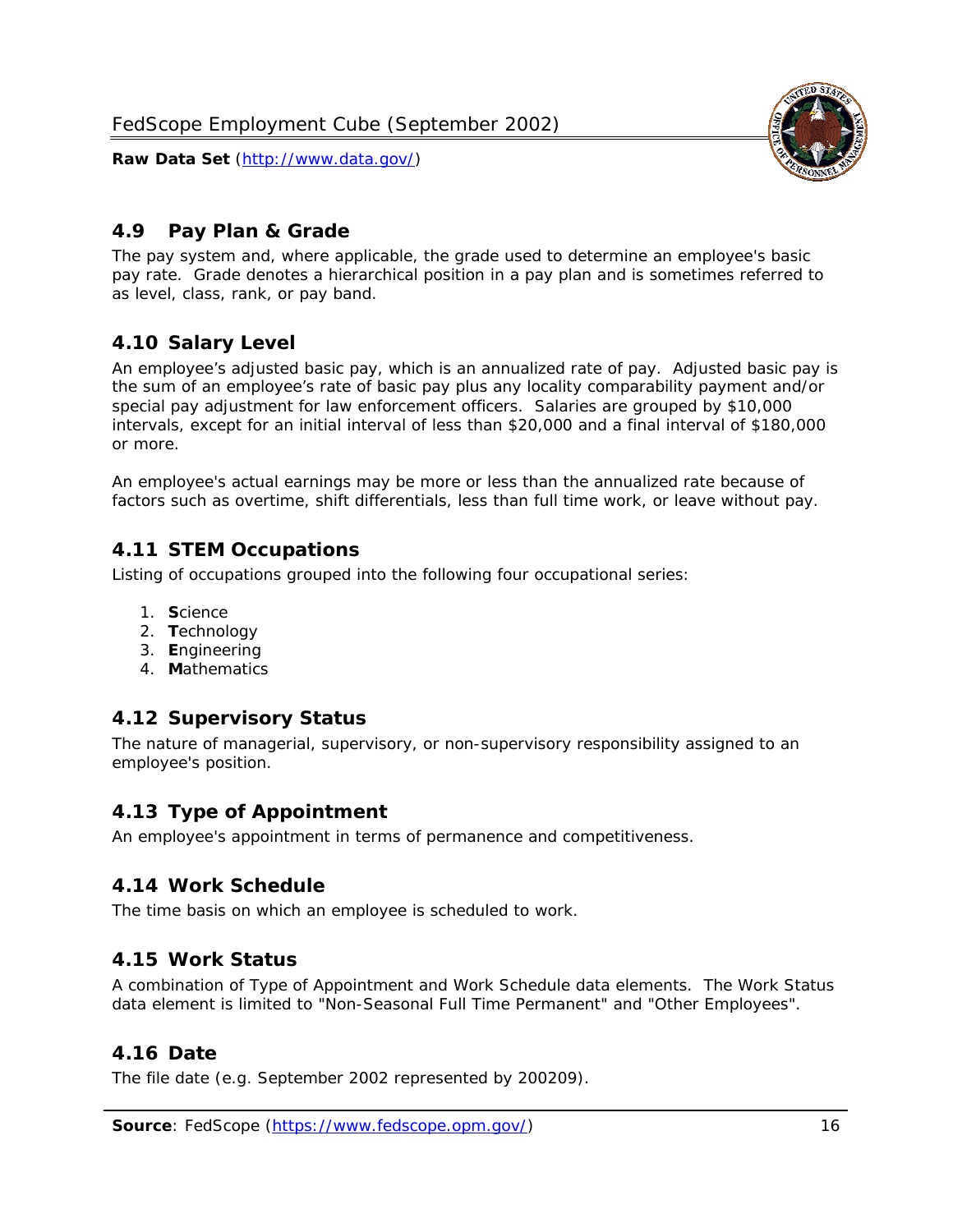<span id="page-16-0"></span>

The pay system and, where applicable, the grade used to determine an employee's basic pay rate. Grade denotes a hierarchical position in a pay plan and is sometimes referred to as level, class, rank, or pay band.

# <span id="page-16-1"></span>*4.10 Salary Level*

An employee's adjusted basic pay, which is an annualized rate of pay. Adjusted basic pay is the sum of an employee's rate of basic pay plus any locality comparability payment and/or special pay adjustment for law enforcement officers. Salaries are grouped by \$10,000 intervals, except for an initial interval of less than \$20,000 and a final interval of \$180,000 or more.

An employee's actual earnings may be more or less than the annualized rate because of factors such as overtime, shift differentials, less than full time work, or leave without pay.

# <span id="page-16-2"></span>*4.11 STEM Occupations*

Listing of occupations grouped into the following four occupational series:

- 1. **S**cience
- 2. **T**echnology
- 3. **E**ngineering
- 4. **M**athematics

#### <span id="page-16-3"></span>*4.12 Supervisory Status*

The nature of managerial, supervisory, or non-supervisory responsibility assigned to an employee's position.

#### <span id="page-16-4"></span>*4.13 Type of Appointment*

An employee's appointment in terms of permanence and competitiveness.

#### <span id="page-16-5"></span>*4.14 Work Schedule*

The time basis on which an employee is scheduled to work.

#### <span id="page-16-6"></span>*4.15 Work Status*

A combination of Type of Appointment and Work Schedule data elements. The Work Status data element is limited to "Non-Seasonal Full Time Permanent" and "Other Employees".

#### <span id="page-16-7"></span>*4.16 Date*

<span id="page-16-8"></span>The file date (e.g. September 2002 represented by 200209).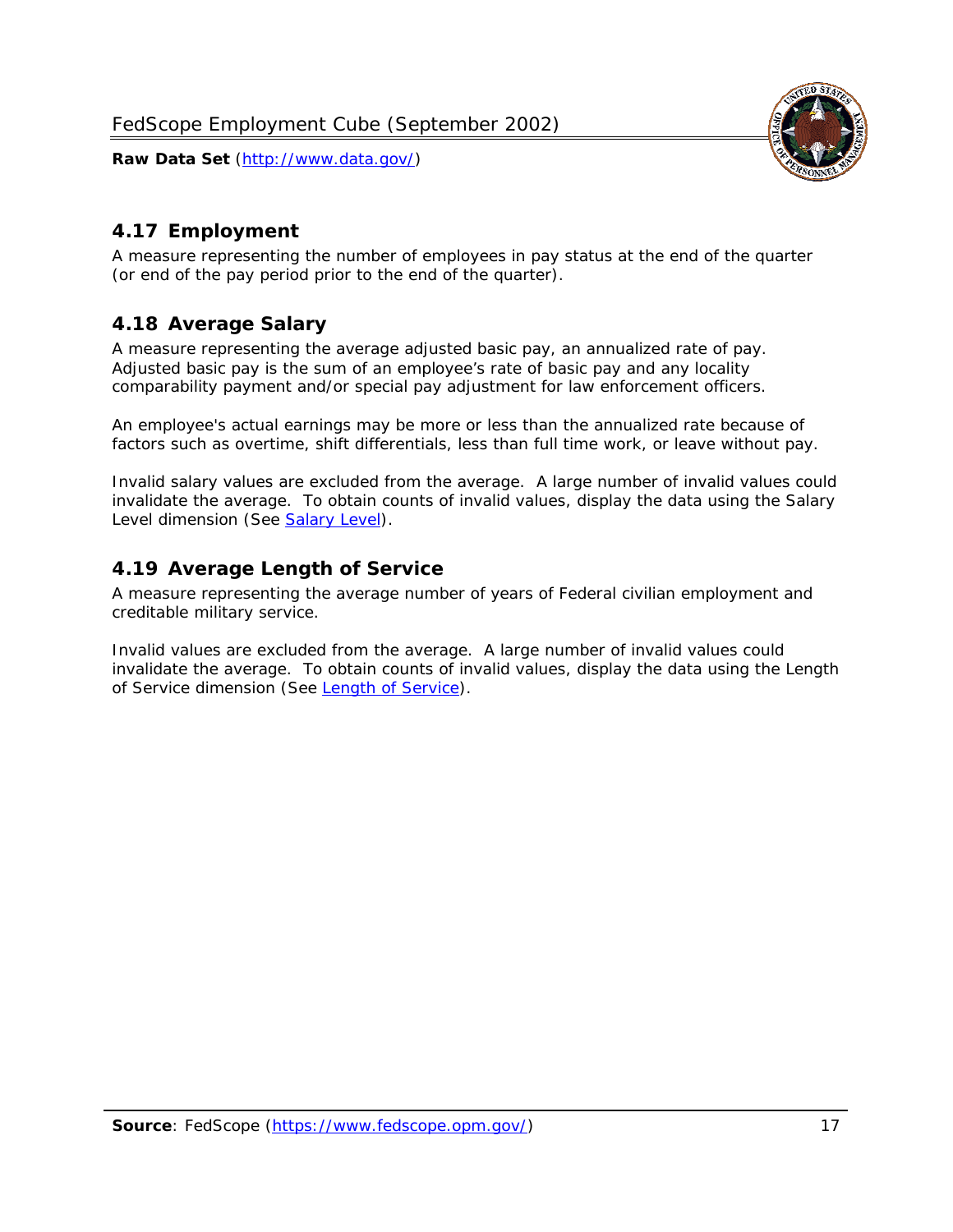

# <span id="page-17-0"></span>*4.17 Employment*

A measure representing the number of employees in pay status at the end of the quarter (or end of the pay period prior to the end of the quarter).

# <span id="page-17-1"></span>*4.18 Average Salary*

A measure representing the average adjusted basic pay, an annualized rate of pay. Adjusted basic pay is the sum of an employee's rate of basic pay and any locality comparability payment and/or special pay adjustment for law enforcement officers.

An employee's actual earnings may be more or less than the annualized rate because of factors such as overtime, shift differentials, less than full time work, or leave without pay.

Invalid salary values are excluded from the average. A large number of invalid values could invalidate the average. To obtain counts of invalid values, display the data using the Salary Level dimension (See [Salary Level\)](#page-16-1).

# <span id="page-17-2"></span>*4.19 Average Length of Service*

A measure representing the average number of years of Federal civilian employment and creditable military service.

Invalid values are excluded from the average. A large number of invalid values could invalidate the average. To obtain counts of invalid values, display the data using the Length of Service dimension (See [Length of Service](#page-15-6)).